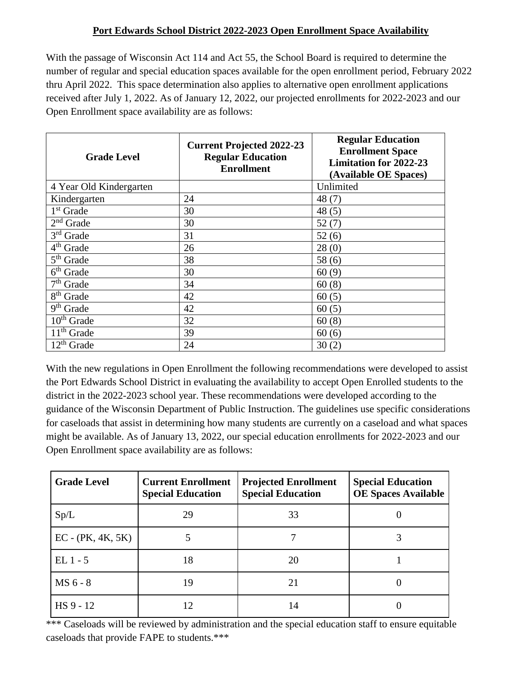## **Port Edwards School District 2022-2023 Open Enrollment Space Availability**

With the passage of Wisconsin Act 114 and Act 55, the School Board is required to determine the number of regular and special education spaces available for the open enrollment period, February 2022 thru April 2022. This space determination also applies to alternative open enrollment applications received after July 1, 2022. As of January 12, 2022, our projected enrollments for 2022-2023 and our Open Enrollment space availability are as follows:

| <b>Grade Level</b>      | <b>Current Projected 2022-23</b><br><b>Regular Education</b><br><b>Enrollment</b> | <b>Regular Education</b><br><b>Enrollment Space</b><br><b>Limitation for 2022-23</b><br>(Available OE Spaces) |
|-------------------------|-----------------------------------------------------------------------------------|---------------------------------------------------------------------------------------------------------------|
| 4 Year Old Kindergarten |                                                                                   | Unlimited                                                                                                     |
| Kindergarten            | 24                                                                                | 48(7)                                                                                                         |
| 1 <sup>st</sup> Grade   | 30                                                                                | 48(5)                                                                                                         |
| $2nd$ Grade             | 30                                                                                | 52(7)                                                                                                         |
| $3rd$ Grade             | 31                                                                                | 52(6)                                                                                                         |
| 4 <sup>th</sup> Grade   | 26                                                                                | 28(0)                                                                                                         |
| $5th$ Grade             | 38                                                                                | 58(6)                                                                                                         |
| $6th$ Grade             | 30                                                                                | 60(9)                                                                                                         |
| $7th$ Grade             | 34                                                                                | 60(8)                                                                                                         |
| 8 <sup>th</sup> Grade   | 42                                                                                | 60(5)                                                                                                         |
| 9 <sup>th</sup> Grade   | 42                                                                                | 60(5)                                                                                                         |
| $10th$ Grade            | 32                                                                                | 60(8)                                                                                                         |
| $11th$ Grade            | 39                                                                                | 60(6)                                                                                                         |
| $12th$ Grade            | 24                                                                                | 30(2)                                                                                                         |

With the new regulations in Open Enrollment the following recommendations were developed to assist the Port Edwards School District in evaluating the availability to accept Open Enrolled students to the district in the 2022-2023 school year. These recommendations were developed according to the guidance of the Wisconsin Department of Public Instruction. The guidelines use specific considerations for caseloads that assist in determining how many students are currently on a caseload and what spaces might be available. As of January 13, 2022, our special education enrollments for 2022-2023 and our Open Enrollment space availability are as follows:

| <b>Grade Level</b>  | <b>Current Enrollment</b><br><b>Special Education</b> | <b>Projected Enrollment</b><br><b>Special Education</b> | <b>Special Education</b><br><b>OE Spaces Available</b> |
|---------------------|-------------------------------------------------------|---------------------------------------------------------|--------------------------------------------------------|
| Sp/L                | 29                                                    | 33                                                      |                                                        |
| $EC - (PK, 4K, 5K)$ |                                                       |                                                         |                                                        |
| $EL1 - 5$           | 18                                                    | 20                                                      |                                                        |
| MS 6 - 8            | 19                                                    | 21                                                      |                                                        |
| HS 9 - 12           | 12                                                    | 14                                                      |                                                        |

\*\*\* Caseloads will be reviewed by administration and the special education staff to ensure equitable caseloads that provide FAPE to students.\*\*\*